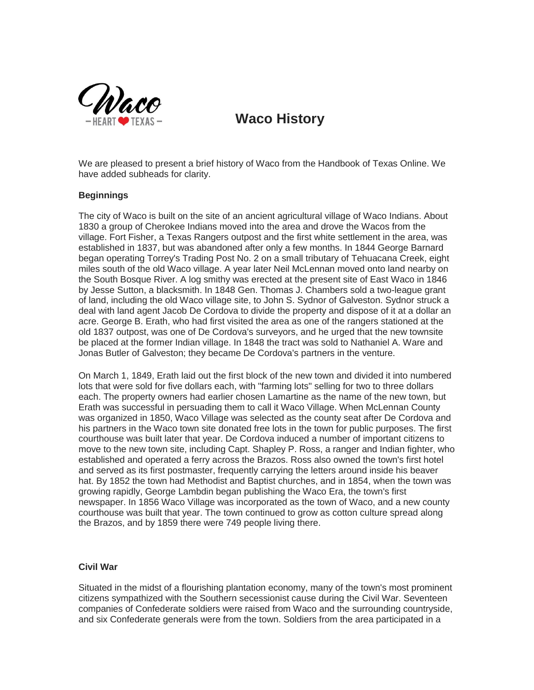

# **Waco History**

We are pleased to present a brief history of Waco from the Handbook of Texas Online. We have added subheads for clarity.

# **Beginnings**

The city of Waco is built on the site of an ancient agricultural village of Waco Indians. About 1830 a group of Cherokee Indians moved into the area and drove the Wacos from the village. Fort Fisher, a Texas Rangers outpost and the first white settlement in the area, was established in 1837, but was abandoned after only a few months. In 1844 George Barnard began operating Torrey's Trading Post No. 2 on a small tributary of Tehuacana Creek, eight miles south of the old Waco village. A year later Neil McLennan moved onto land nearby on the South Bosque River. A log smithy was erected at the present site of East Waco in 1846 by Jesse Sutton, a blacksmith. In 1848 Gen. Thomas J. Chambers sold a two-league grant of land, including the old Waco village site, to John S. Sydnor of Galveston. Sydnor struck a deal with land agent Jacob De Cordova to divide the property and dispose of it at a dollar an acre. George B. Erath, who had first visited the area as one of the rangers stationed at the old 1837 outpost, was one of De Cordova's surveyors, and he urged that the new townsite be placed at the former Indian village. In 1848 the tract was sold to Nathaniel A. Ware and Jonas Butler of Galveston; they became De Cordova's partners in the venture.

On March 1, 1849, Erath laid out the first block of the new town and divided it into numbered lots that were sold for five dollars each, with "farming lots" selling for two to three dollars each. The property owners had earlier chosen Lamartine as the name of the new town, but Erath was successful in persuading them to call it Waco Village. When McLennan County was organized in 1850, Waco Village was selected as the county seat after De Cordova and his partners in the Waco town site donated free lots in the town for public purposes. The first courthouse was built later that year. De Cordova induced a number of important citizens to move to the new town site, including Capt. Shapley P. Ross, a ranger and Indian fighter, who established and operated a ferry across the Brazos. Ross also owned the town's first hotel and served as its first postmaster, frequently carrying the letters around inside his beaver hat. By 1852 the town had Methodist and Baptist churches, and in 1854, when the town was growing rapidly, George Lambdin began publishing the Waco Era, the town's first newspaper. In 1856 Waco Village was incorporated as the town of Waco, and a new county courthouse was built that year. The town continued to grow as cotton culture spread along the Brazos, and by 1859 there were 749 people living there.

## **Civil War**

Situated in the midst of a flourishing plantation economy, many of the town's most prominent citizens sympathized with the Southern secessionist cause during the Civil War. Seventeen companies of Confederate soldiers were raised from Waco and the surrounding countryside, and six Confederate generals were from the town. Soldiers from the area participated in a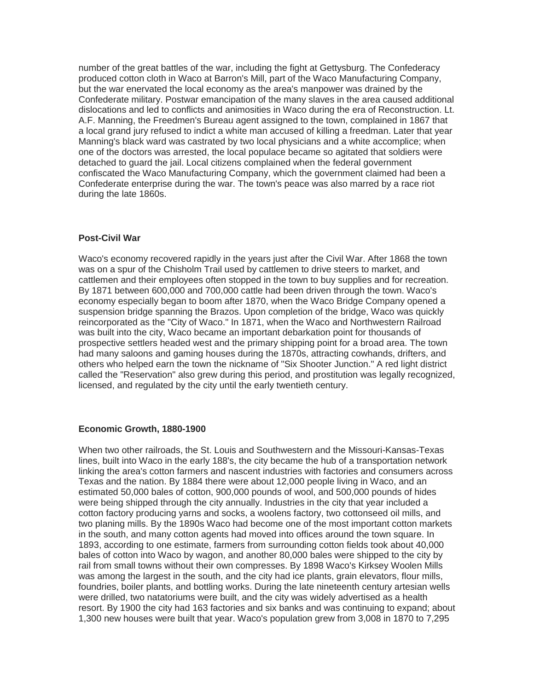number of the great battles of the war, including the fight at Gettysburg. The Confederacy produced cotton cloth in Waco at Barron's Mill, part of the Waco Manufacturing Company, but the war enervated the local economy as the area's manpower was drained by the Confederate military. Postwar emancipation of the many slaves in the area caused additional dislocations and led to conflicts and animosities in Waco during the era of Reconstruction. Lt. A.F. Manning, the Freedmen's Bureau agent assigned to the town, complained in 1867 that a local grand jury refused to indict a white man accused of killing a freedman. Later that year Manning's black ward was castrated by two local physicians and a white accomplice; when one of the doctors was arrested, the local populace became so agitated that soldiers were detached to guard the jail. Local citizens complained when the federal government confiscated the Waco Manufacturing Company, which the government claimed had been a Confederate enterprise during the war. The town's peace was also marred by a race riot during the late 1860s.

# **Post-Civil War**

Waco's economy recovered rapidly in the years just after the Civil War. After 1868 the town was on a spur of the Chisholm Trail used by cattlemen to drive steers to market, and cattlemen and their employees often stopped in the town to buy supplies and for recreation. By 1871 between 600,000 and 700,000 cattle had been driven through the town. Waco's economy especially began to boom after 1870, when the Waco Bridge Company opened a suspension bridge spanning the Brazos. Upon completion of the bridge, Waco was quickly reincorporated as the "City of Waco." In 1871, when the Waco and Northwestern Railroad was built into the city, Waco became an important debarkation point for thousands of prospective settlers headed west and the primary shipping point for a broad area. The town had many saloons and gaming houses during the 1870s, attracting cowhands, drifters, and others who helped earn the town the nickname of "Six Shooter Junction." A red light district called the "Reservation" also grew during this period, and prostitution was legally recognized, licensed, and regulated by the city until the early twentieth century.

### **Economic Growth, 1880-1900**

When two other railroads, the St. Louis and Southwestern and the Missouri-Kansas-Texas lines, built into Waco in the early 188's, the city became the hub of a transportation network linking the area's cotton farmers and nascent industries with factories and consumers across Texas and the nation. By 1884 there were about 12,000 people living in Waco, and an estimated 50,000 bales of cotton, 900,000 pounds of wool, and 500,000 pounds of hides were being shipped through the city annually. Industries in the city that year included a cotton factory producing yarns and socks, a woolens factory, two cottonseed oil mills, and two planing mills. By the 1890s Waco had become one of the most important cotton markets in the south, and many cotton agents had moved into offices around the town square. In 1893, according to one estimate, farmers from surrounding cotton fields took about 40,000 bales of cotton into Waco by wagon, and another 80,000 bales were shipped to the city by rail from small towns without their own compresses. By 1898 Waco's Kirksey Woolen Mills was among the largest in the south, and the city had ice plants, grain elevators, flour mills, foundries, boiler plants, and bottling works. During the late nineteenth century artesian wells were drilled, two natatoriums were built, and the city was widely advertised as a health resort. By 1900 the city had 163 factories and six banks and was continuing to expand; about 1,300 new houses were built that year. Waco's population grew from 3,008 in 1870 to 7,295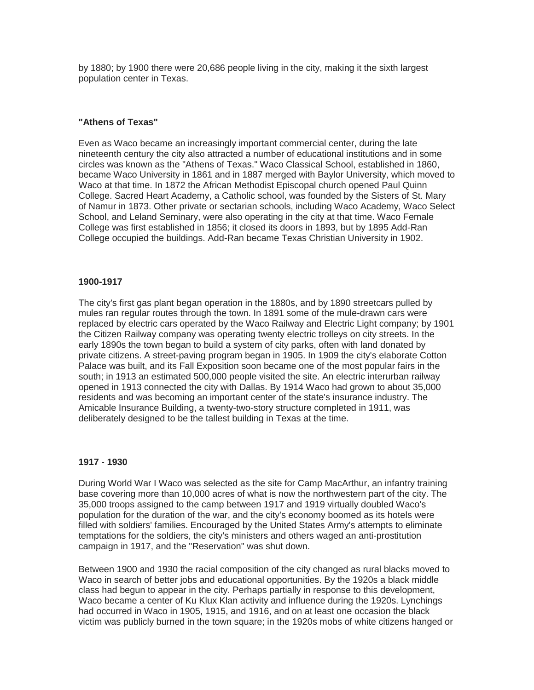by 1880; by 1900 there were 20,686 people living in the city, making it the sixth largest population center in Texas.

# **"Athens of Texas"**

Even as Waco became an increasingly important commercial center, during the late nineteenth century the city also attracted a number of educational institutions and in some circles was known as the "Athens of Texas." Waco Classical School, established in 1860, became Waco University in 1861 and in 1887 merged with Baylor University, which moved to Waco at that time. In 1872 the African Methodist Episcopal church opened Paul Quinn College. Sacred Heart Academy, a Catholic school, was founded by the Sisters of St. Mary of Namur in 1873. Other private or sectarian schools, including Waco Academy, Waco Select School, and Leland Seminary, were also operating in the city at that time. Waco Female College was first established in 1856; it closed its doors in 1893, but by 1895 Add-Ran College occupied the buildings. Add-Ran became Texas Christian University in 1902.

### **1900-1917**

The city's first gas plant began operation in the 1880s, and by 1890 streetcars pulled by mules ran regular routes through the town. In 1891 some of the mule-drawn cars were replaced by electric cars operated by the Waco Railway and Electric Light company; by 1901 the Citizen Railway company was operating twenty electric trolleys on city streets. In the early 1890s the town began to build a system of city parks, often with land donated by private citizens. A street-paving program began in 1905. In 1909 the city's elaborate Cotton Palace was built, and its Fall Exposition soon became one of the most popular fairs in the south; in 1913 an estimated 500,000 people visited the site. An electric interurban railway opened in 1913 connected the city with Dallas. By 1914 Waco had grown to about 35,000 residents and was becoming an important center of the state's insurance industry. The Amicable Insurance Building, a twenty-two-story structure completed in 1911, was deliberately designed to be the tallest building in Texas at the time.

# **1917 - 1930**

During World War I Waco was selected as the site for Camp MacArthur, an infantry training base covering more than 10,000 acres of what is now the northwestern part of the city. The 35,000 troops assigned to the camp between 1917 and 1919 virtually doubled Waco's population for the duration of the war, and the city's economy boomed as its hotels were filled with soldiers' families. Encouraged by the United States Army's attempts to eliminate temptations for the soldiers, the city's ministers and others waged an anti-prostitution campaign in 1917, and the "Reservation" was shut down.

Between 1900 and 1930 the racial composition of the city changed as rural blacks moved to Waco in search of better jobs and educational opportunities. By the 1920s a black middle class had begun to appear in the city. Perhaps partially in response to this development, Waco became a center of Ku Klux Klan activity and influence during the 1920s. Lynchings had occurred in Waco in 1905, 1915, and 1916, and on at least one occasion the black victim was publicly burned in the town square; in the 1920s mobs of white citizens hanged or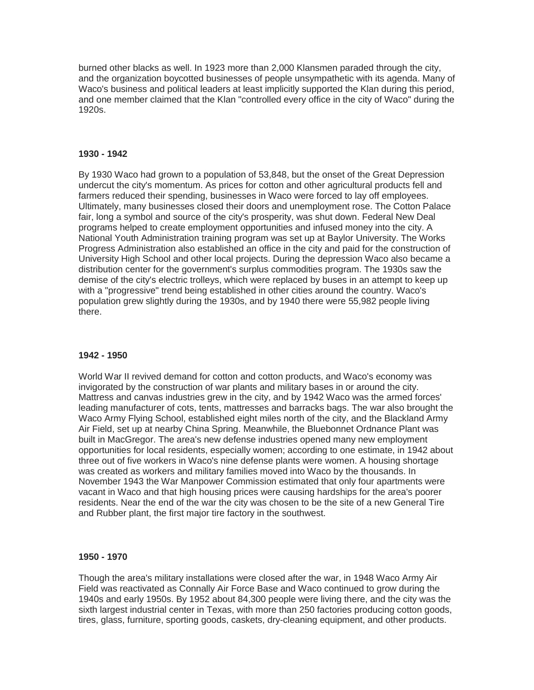burned other blacks as well. In 1923 more than 2,000 Klansmen paraded through the city, and the organization boycotted businesses of people unsympathetic with its agenda. Many of Waco's business and political leaders at least implicitly supported the Klan during this period, and one member claimed that the Klan "controlled every office in the city of Waco" during the 1920s.

## **1930 - 1942**

By 1930 Waco had grown to a population of 53,848, but the onset of the Great Depression undercut the city's momentum. As prices for cotton and other agricultural products fell and farmers reduced their spending, businesses in Waco were forced to lay off employees. Ultimately, many businesses closed their doors and unemployment rose. The Cotton Palace fair, long a symbol and source of the city's prosperity, was shut down. Federal New Deal programs helped to create employment opportunities and infused money into the city. A National Youth Administration training program was set up at Baylor University. The Works Progress Administration also established an office in the city and paid for the construction of University High School and other local projects. During the depression Waco also became a distribution center for the government's surplus commodities program. The 1930s saw the demise of the city's electric trolleys, which were replaced by buses in an attempt to keep up with a "progressive" trend being established in other cities around the country. Waco's population grew slightly during the 1930s, and by 1940 there were 55,982 people living there.

## **1942 - 1950**

World War II revived demand for cotton and cotton products, and Waco's economy was invigorated by the construction of war plants and military bases in or around the city. Mattress and canvas industries grew in the city, and by 1942 Waco was the armed forces' leading manufacturer of cots, tents, mattresses and barracks bags. The war also brought the Waco Army Flying School, established eight miles north of the city, and the Blackland Army Air Field, set up at nearby China Spring. Meanwhile, the Bluebonnet Ordnance Plant was built in MacGregor. The area's new defense industries opened many new employment opportunities for local residents, especially women; according to one estimate, in 1942 about three out of five workers in Waco's nine defense plants were women. A housing shortage was created as workers and military families moved into Waco by the thousands. In November 1943 the War Manpower Commission estimated that only four apartments were vacant in Waco and that high housing prices were causing hardships for the area's poorer residents. Near the end of the war the city was chosen to be the site of a new General Tire and Rubber plant, the first major tire factory in the southwest.

### **1950 - 1970**

Though the area's military installations were closed after the war, in 1948 Waco Army Air Field was reactivated as Connally Air Force Base and Waco continued to grow during the 1940s and early 1950s. By 1952 about 84,300 people were living there, and the city was the sixth largest industrial center in Texas, with more than 250 factories producing cotton goods, tires, glass, furniture, sporting goods, caskets, dry-cleaning equipment, and other products.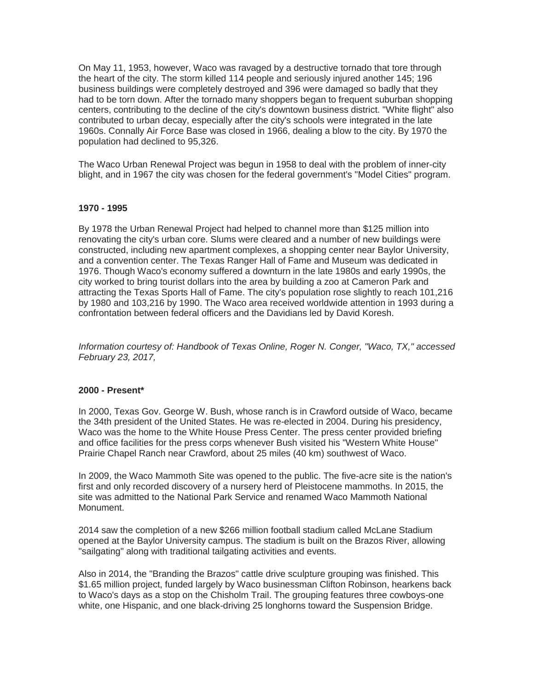On May 11, 1953, however, Waco was ravaged by a destructive tornado that tore through the heart of the city. The storm killed 114 people and seriously injured another 145; 196 business buildings were completely destroyed and 396 were damaged so badly that they had to be torn down. After the tornado many shoppers began to frequent suburban shopping centers, contributing to the decline of the city's downtown business district. "White flight" also contributed to urban decay, especially after the city's schools were integrated in the late 1960s. Connally Air Force Base was closed in 1966, dealing a blow to the city. By 1970 the population had declined to 95,326.

The Waco Urban Renewal Project was begun in 1958 to deal with the problem of inner-city blight, and in 1967 the city was chosen for the federal government's "Model Cities" program.

### **1970 - 1995**

By 1978 the Urban Renewal Project had helped to channel more than \$125 million into renovating the city's urban core. Slums were cleared and a number of new buildings were constructed, including new apartment complexes, a shopping center near Baylor University, and a convention center. The Texas Ranger Hall of Fame and Museum was dedicated in 1976. Though Waco's economy suffered a downturn in the late 1980s and early 1990s, the city worked to bring tourist dollars into the area by building a zoo at Cameron Park and attracting the Texas Sports Hall of Fame. The city's population rose slightly to reach 101,216 by 1980 and 103,216 by 1990. The Waco area received worldwide attention in 1993 during a confrontation between federal officers and the Davidians led by David Koresh.

*Information courtesy of: Handbook of Texas Online, Roger N. Conger, "Waco, TX," accessed February 23, 2017,*

### **2000 - Present\***

In 2000, Texas Gov. George W. Bush, whose ranch is in Crawford outside of Waco, became the 34th president of the United States. He was re-elected in 2004. During his presidency, Waco was the home to the White House Press Center. The press center provided briefing and office facilities for the press corps whenever Bush visited his "Western White House" Prairie Chapel Ranch near Crawford, about 25 miles (40 km) southwest of Waco.

In 2009, the Waco Mammoth Site was opened to the public. The five-acre site is the nation's first and only recorded discovery of a nursery herd of Pleistocene mammoths. In 2015, the site was admitted to the National Park Service and renamed Waco Mammoth National Monument.

2014 saw the completion of a new \$266 million football stadium called McLane Stadium opened at the Baylor University campus. The stadium is built on the Brazos River, allowing "sailgating" along with traditional tailgating activities and events.

Also in 2014, the "Branding the Brazos" cattle drive sculpture grouping was finished. This \$1.65 million project, funded largely by Waco businessman Clifton Robinson, hearkens back to Waco's days as a stop on the Chisholm Trail. The grouping features three cowboys-one white, one Hispanic, and one black-driving 25 longhorns toward the Suspension Bridge.